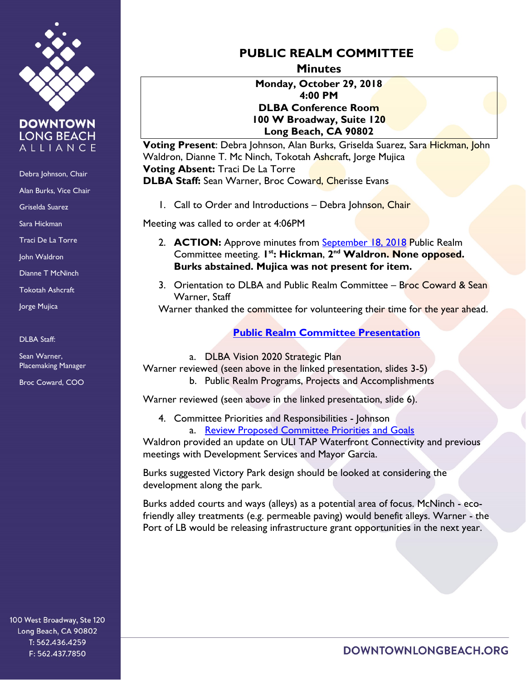

**DOWNTOWN LONG BEACH** ALLIANCE

Debra Johnson, Chair

Alan Burks, Vice Chair

Griselda Suarez

Sara Hickman

Traci De La Torre

John Waldron

Dianne T McNinch

Tokotah Ashcraft

Jorge Mujica

DLBA Staff:

Sean Warner, Placemaking Manager

Broc Coward, COO

**PUBLIC REALM COMMITTEE** 

**Minutes**

**Monday, October 29, 2018 4:00 PM DLBA Conference Room 100 W Broadway, Suite 120 Long Beach, CA 90802**

**Voting Present**: Debra Johnson, Alan Burks, Griselda Suarez, Sara Hickman, John Waldron, Dianne T. Mc Ninch, Tokotah Ashcraft, Jorge Mujica **Voting Absent:** Traci De La Torre **DLBA Staff:** Sean Warner, Broc Coward, Cherisse Evans

1. Call to Order and Introductions - Debra Johnson, Chair

Meeting was called to order at 4:06PM

- 2. **ACTION:** Approve minutes from [September](https://downtownlongbeach.org/wp-content/uploads/Public-Realm-09-18-18-Minutes.pdf) 18, 2018 Public Realm Committee meeting. **1st: Hickman**, **2nd Waldron. None opposed. Burks abstained. Mujica was not present for item.**
- 3. Orientation to DLBA and Public Realm Committee Broc Coward & Sean Warner, Staff

Warner thanked the committee for volunteering their time for the year ahead.

## **[Public Realm Committee Presentation](file://ntdc/dlba$/Executive%20Assistant/Committees/Public%20Realm/2018-2019/October/Public%20Realm%20Committee%20Presentation_10%2029%202018.pdf)**

a. DLBA Vision 2020 Strategic Plan Warner reviewed (seen above in the linked presentation, slides 3-5) b. Public Realm Programs, Projects and Accomplishments

Warner reviewed (seen above in the linked presentation, slide 6).

4. Committee Priorities and Responsibilities - Johnson a. [Review Proposed Committee Priorities and Goals](https://downtownlongbeach.org/wp-content/uploads/Item-4A-Public-Realm-Committee-FY2018-19-Goals.pdf)

Waldron provided an update on ULI TAP Waterfront Connectivity and previous meetings with Development Services and Mayor Garcia.

Burks suggested Victory Park design should be looked at considering the development along the park.

Burks added courts and ways (alleys) as a potential area of focus. McNinch - ecofriendly alley treatments (e.g. permeable paving) would benefit alleys. Warner - the Port of LB would be releasing infrastructure grant opportunities in the next year.

100 West Broadway, Ste 120 Long Beach, CA 90802 T: 562.436.4259 F: 562.437.7850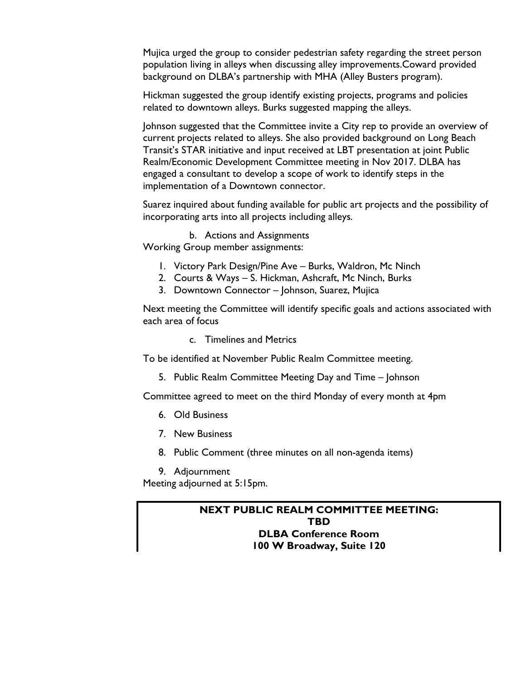Mujica urged the group to consider pedestrian safety regarding the street person population living in alleys when discussing alley improvements.Coward provided background on DLBA's partnership with MHA (Alley Busters program).

Hickman suggested the group identify existing projects, programs and policies related to downtown alleys. Burks suggested mapping the alleys.

Johnson suggested that the Committee invite a City rep to provide an overview of current projects related to alleys. She also provided background on Long Beach Transit's STAR initiative and input received at LBT presentation at joint Public Realm/Economic Development Committee meeting in Nov 2017. DLBA has engaged a consultant to develop a scope of work to identify steps in the implementation of a Downtown connector.

Suarez inquired about funding available for public art projects and the possibility of incorporating arts into all projects including alleys.

b. Actions and Assignments Working Group member assignments:

- 1. Victory Park Design/Pine Ave Burks, Waldron, Mc Ninch
- 2. Courts & Ways S. Hickman, Ashcraft, Mc Ninch, Burks
- 3. Downtown Connector Johnson, Suarez, Mujica

Next meeting the Committee will identify specific goals and actions associated with each area of focus

c. Timelines and Metrics

To be identified at November Public Realm Committee meeting.

5. Public Realm Committee Meeting Day and Time – Johnson

Committee agreed to meet on the third Monday of every month at 4pm

- 6. Old Business
- 7. New Business
- 8. Public Comment (three minutes on all non-agenda items)
- 9. Adjournment

Meeting adjourned at 5:15pm.

## **NEXT PUBLIC REALM COMMITTEE MEETING: TBD DLBA Conference Room 100 W Broadway, Suite 120**